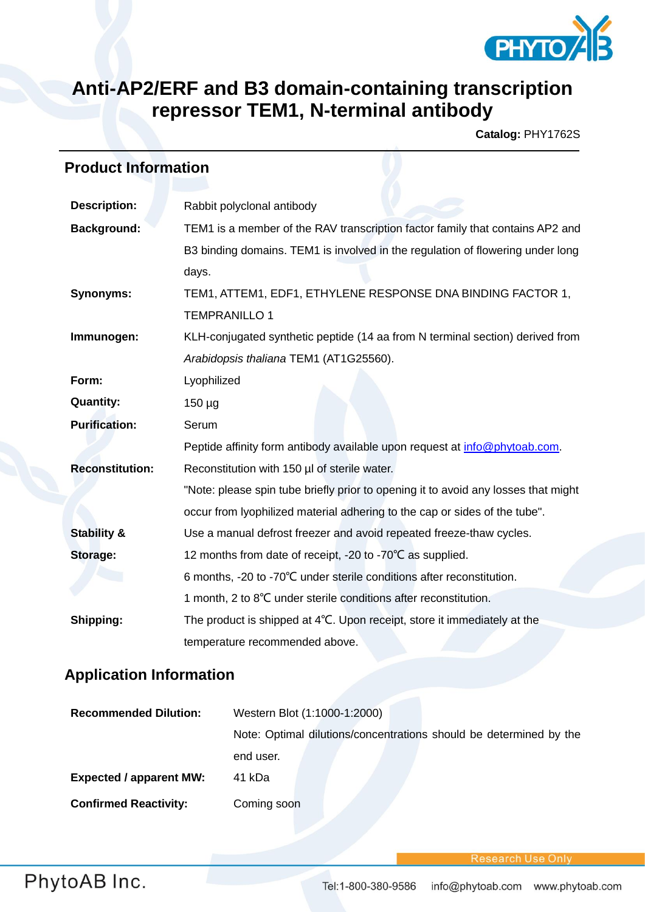

## **Anti-AP2/ERF and B3 domain-containing transcription repressor TEM1, N-terminal antibody**

**Catalog:** PHY1762S

## **Product Information**

| <b>Description:</b>    | Rabbit polyclonal antibody                                                         |  |  |  |  |  |  |
|------------------------|------------------------------------------------------------------------------------|--|--|--|--|--|--|
| <b>Background:</b>     | TEM1 is a member of the RAV transcription factor family that contains AP2 and      |  |  |  |  |  |  |
|                        | B3 binding domains. TEM1 is involved in the regulation of flowering under long     |  |  |  |  |  |  |
|                        | days.                                                                              |  |  |  |  |  |  |
| <b>Synonyms:</b>       | TEM1, ATTEM1, EDF1, ETHYLENE RESPONSE DNA BINDING FACTOR 1,                        |  |  |  |  |  |  |
|                        | <b>TEMPRANILLO 1</b>                                                               |  |  |  |  |  |  |
| Immunogen:             | KLH-conjugated synthetic peptide (14 aa from N terminal section) derived from      |  |  |  |  |  |  |
|                        | Arabidopsis thaliana TEM1 (AT1G25560).                                             |  |  |  |  |  |  |
| Form:                  | Lyophilized                                                                        |  |  |  |  |  |  |
| <b>Quantity:</b>       | $150 \mu g$                                                                        |  |  |  |  |  |  |
| <b>Purification:</b>   | Serum                                                                              |  |  |  |  |  |  |
|                        | Peptide affinity form antibody available upon request at info@phytoab.com.         |  |  |  |  |  |  |
| <b>Reconstitution:</b> | Reconstitution with 150 µl of sterile water.                                       |  |  |  |  |  |  |
|                        | "Note: please spin tube briefly prior to opening it to avoid any losses that might |  |  |  |  |  |  |
|                        | occur from lyophilized material adhering to the cap or sides of the tube".         |  |  |  |  |  |  |
| <b>Stability &amp;</b> | Use a manual defrost freezer and avoid repeated freeze-thaw cycles.                |  |  |  |  |  |  |
| Storage:               | 12 months from date of receipt, -20 to -70°C as supplied.                          |  |  |  |  |  |  |
|                        | 6 months, -20 to -70°C under sterile conditions after reconstitution.              |  |  |  |  |  |  |
|                        | 1 month, 2 to 8°C under sterile conditions after reconstitution.                   |  |  |  |  |  |  |
| Shipping:              | The product is shipped at 4°C. Upon receipt, store it immediately at the           |  |  |  |  |  |  |
|                        | temperature recommended above.                                                     |  |  |  |  |  |  |

## **Application Information**

| <b>Recommended Dilution:</b>   | Western Blot (1:1000-1:2000)                                       |  |  |  |  |  |  |
|--------------------------------|--------------------------------------------------------------------|--|--|--|--|--|--|
|                                | Note: Optimal dilutions/concentrations should be determined by the |  |  |  |  |  |  |
|                                | end user.                                                          |  |  |  |  |  |  |
| <b>Expected / apparent MW:</b> | 41 kDa                                                             |  |  |  |  |  |  |
| <b>Confirmed Reactivity:</b>   | Coming soon                                                        |  |  |  |  |  |  |

Research Use On